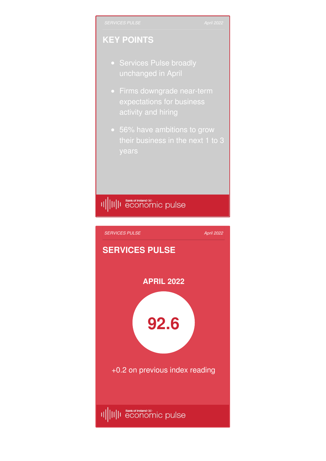## **KEY POINTS**

- Services Pulse broadly unchanged in April
- Firms downgrade near-term expectations for business activity and hiring
- 56% have ambitions to grow

## II||II||I Bankof Ireland®<br>|I|||II||I economic pulse

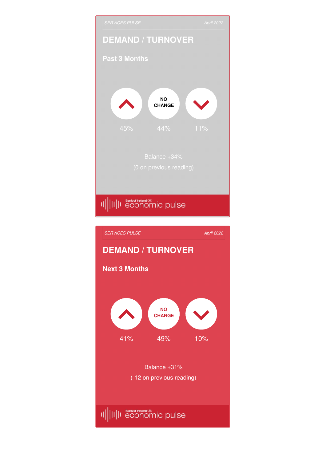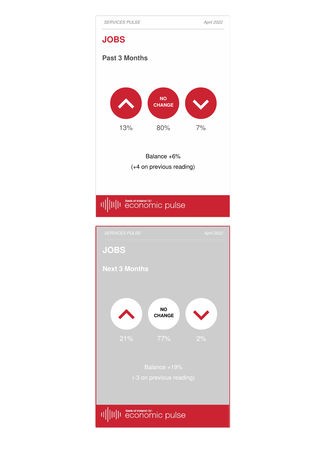

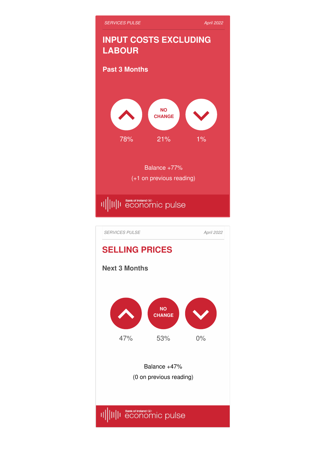